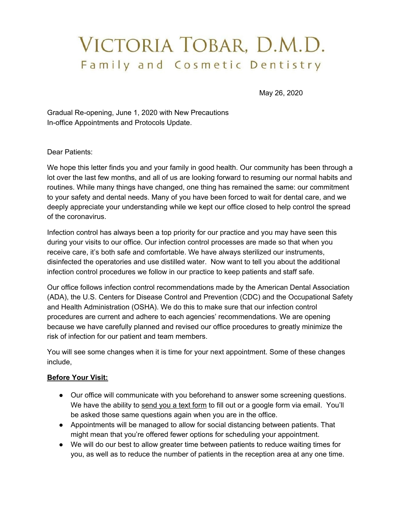# VICTORIA TOBAR, D.M.D. Family and Cosmetic Dentistry

May 26, 2020

Gradual Re-opening, June 1, 2020 with New Precautions In-office Appointments and Protocols Update.

Dear Patients:

We hope this letter finds you and your family in good health. Our community has been through a lot over the last few months, and all of us are looking forward to resuming our normal habits and routines. While many things have changed, one thing has remained the same: our commitment to your safety and dental needs. Many of you have been forced to wait for dental care, and we deeply appreciate your understanding while we kept our office closed to help control the spread of the coronavirus.

Infection control has always been a top priority for our practice and you may have seen this during your visits to our office. Our infection control processes are made so that when you receive care, it's both safe and comfortable. We have always sterilized our instruments, disinfected the operatories and use distilled water. Now want to tell you about the additional infection control procedures we follow in our practice to keep patients and staff safe.

Our office follows infection control recommendations made by the American Dental Association (ADA), the U.S. Centers for Disease Control and Prevention (CDC) and the Occupational Safety and Health Administration (OSHA). We do this to make sure that our infection control procedures are current and adhere to each agencies' recommendations. We are opening because we have carefully planned and revised our office procedures to greatly minimize the risk of infection for our patient and team members.

You will see some changes when it is time for your next appointment. Some of these changes include,

#### **Before Your Visit:**

- Our office will communicate with you beforehand to answer some screening questions. We have the ability to send you a text form to fill out or a google form via email. You'll be asked those same questions again when you are in the office.
- Appointments will be managed to allow for social distancing between patients. That might mean that you're offered fewer options for scheduling your appointment.
- We will do our best to allow greater time between patients to reduce waiting times for you, as well as to reduce the number of patients in the reception area at any one time.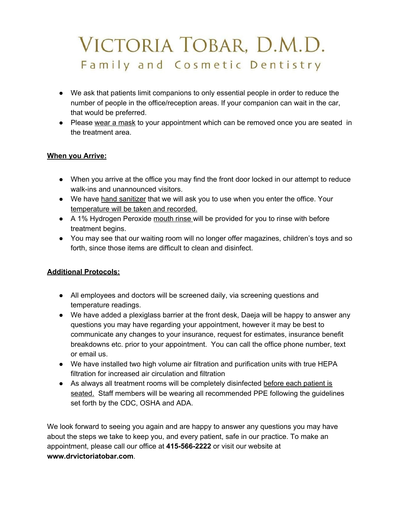# VICTORIA TOBAR, D.M.D. Family and Cosmetic Dentistry

- We ask that patients limit companions to only essential people in order to reduce the number of people in the office/reception areas. If your companion can wait in the car, that would be preferred.
- Please wear a mask to your appointment which can be removed once you are seated in the treatment area.

#### **When you Arrive:**

- When you arrive at the office you may find the front door locked in our attempt to reduce walk-ins and unannounced visitors.
- We have hand sanitizer that we will ask you to use when you enter the office. Your temperature will be taken and recorded.
- A 1% Hydrogen Peroxide mouth rinse will be provided for you to rinse with before treatment begins.
- You may see that our waiting room will no longer offer magazines, children's toys and so forth, since those items are difficult to clean and disinfect.

#### **Additional Protocols:**

- All employees and doctors will be screened daily, via screening questions and temperature readings.
- We have added a plexiglass barrier at the front desk, Daeja will be happy to answer any questions you may have regarding your appointment, however it may be best to communicate any changes to your insurance, request for estimates, insurance benefit breakdowns etc. prior to your appointment. You can call the office phone number, text or email us.
- We have installed two high volume air filtration and purification units with true HEPA filtration for increased air circulation and filtration
- As always all treatment rooms will be completely disinfected before each patient is seated. Staff members will be wearing all recommended PPE following the guidelines set forth by the CDC, OSHA and ADA.

We look forward to seeing you again and are happy to answer any questions you may have about the steps we take to keep you, and every patient, safe in our practice. To make an appointment, please call our office at **415-566-2222** or visit our website at **www.drvictoriatobar.com**.